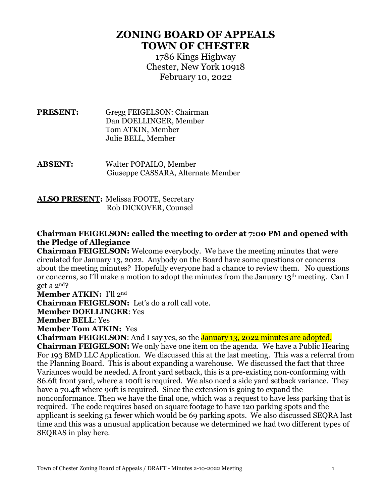## **ZONING BOARD OF APPEALS TOWN OF CHESTER**

1786 Kings Highway Chester, New York 10918 February 10, 2022

**PRESENT:** Gregg FEIGELSON: Chairman Dan DOELLINGER, Member Tom ATKIN, Member Julie BELL, Member

**ABSENT:** Walter POPAILO, Member Giuseppe CASSARA, Alternate Member

**ALSO PRESENT:** Melissa FOOTE, Secretary Rob DICKOVER, Counsel

## **Chairman FEIGELSON: called the meeting to order at 7:00 PM and opened with the Pledge of Allegiance**

**Chairman FEIGELSON:** Welcome everybody. We have the meeting minutes that were circulated for January 13, 2022. Anybody on the Board have some questions or concerns about the meeting minutes? Hopefully everyone had a chance to review them. No questions or concerns, so I'll make a motion to adopt the minutes from the January 13th meeting. Can I get a 2nd?

**Member ATKIN:** I'll 2nd

**Chairman FEIGELSON:** Let's do a roll call vote.

**Member DOELLINGER**: Yes

**Member BELL**: Yes

**Member Tom ATKIN:** Yes

**Chairman FEIGELSON:** And I say yes, so the **January 13, 2022 minutes are adopted.** 

**Chairman FEIGELSON:** We only have one item on the agenda. We have a Public Hearing For 193 BMD LLC Application. We discussed this at the last meeting. This was a referral from the Planning Board. This is about expanding a warehouse. We discussed the fact that three Variances would be needed. A front yard setback, this is a pre-existing non-conforming with 86.6ft front yard, where a 100ft is required. We also need a side yard setback variance. They have a 70.4ft where 90ft is required. Since the extension is going to expand the nonconformance. Then we have the final one, which was a request to have less parking that is required. The code requires based on square footage to have 120 parking spots and the applicant is seeking 51 fewer which would be 69 parking spots. We also discussed SEQRA last time and this was a unusual application because we determined we had two different types of SEQRAS in play here.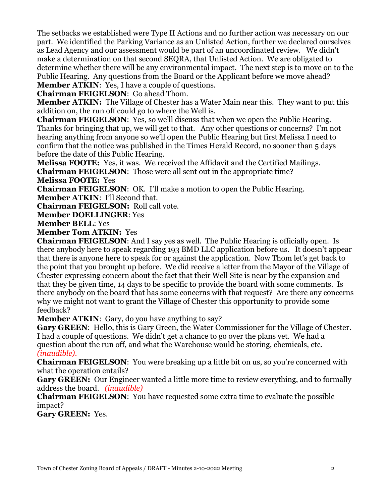The setbacks we established were Type II Actions and no further action was necessary on our part. We identified the Parking Variance as an Unlisted Action, further we declared ourselves as Lead Agency and our assessment would be part of an uncoordinated review. We didn't make a determination on that second SEQRA, that Unlisted Action. We are obligated to determine whether there will be any environmental impact. The next step is to move on to the Public Hearing. Any questions from the Board or the Applicant before we move ahead? **Member ATKIN:** Yes, I have a couple of questions.

**Chairman FEIGELSON**: Go ahead Thom.

**Member ATKIN:** The Village of Chester has a Water Main near this. They want to put this addition on, the run off could go to where the Well is.

**Chairman FEIGELSON**: Yes, so we'll discuss that when we open the Public Hearing. Thanks for bringing that up, we will get to that. Any other questions or concerns? I'm not hearing anything from anyone so we'll open the Public Hearing but first Melissa I need to confirm that the notice was published in the Times Herald Record, no sooner than 5 days before the date of this Public Hearing.

**Melissa FOOTE:** Yes, it was. We received the Affidavit and the Certified Mailings.

**Chairman FEIGELSON**: Those were all sent out in the appropriate time? **Melissa FOOTE:** Yes

**Chairman FEIGELSON**: OK. I'll make a motion to open the Public Hearing. **Member ATKIN**: I'll Second that.

**Chairman FEIGELSON:** Roll call vote.

**Member DOELLINGER**: Yes

**Member BELL**: Yes

**Member Tom ATKIN:** Yes

**Chairman FEIGELSON**: And I say yes as well. The Public Hearing is officially open. Is there anybody here to speak regarding 193 BMD LLC application before us. It doesn't appear that there is anyone here to speak for or against the application. Now Thom let's get back to the point that you brought up before. We did receive a letter from the Mayor of the Village of Chester expressing concern about the fact that their Well Site is near by the expansion and that they be given time, 14 days to be specific to provide the board with some comments. Is there anybody on the board that has some concerns with that request? Are there any concerns why we might not want to grant the Village of Chester this opportunity to provide some feedback?

**Member ATKIN:** Gary, do you have anything to say?

**Gary GREEN**: Hello, this is Gary Green, the Water Commissioner for the Village of Chester. I had a couple of questions. We didn't get a chance to go over the plans yet. We had a question about the run off, and what the Warehouse would be storing, chemicals, etc. *(inaudible).*

**Chairman FEIGELSON:** You were breaking up a little bit on us, so you're concerned with what the operation entails?

**Gary GREEN:** Our Engineer wanted a little more time to review everything, and to formally address the board. *(inaudible)*

**Chairman FEIGELSON**: You have requested some extra time to evaluate the possible impact?

**Gary GREEN:** Yes.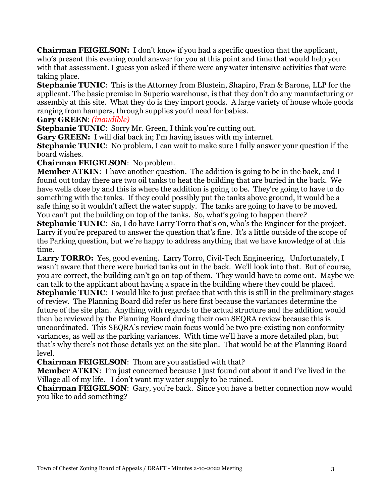**Chairman FEIGELSON:** I don't know if you had a specific question that the applicant, who's present this evening could answer for you at this point and time that would help you with that assessment. I guess you asked if there were any water intensive activities that were taking place.

**Stephanie TUNIC:** This is the Attorney from Blustein, Shapiro, Fran & Barone, LLP for the applicant. The basic premise in Superio warehouse, is that they don't do any manufacturing or assembly at this site. What they do is they import goods. A large variety of house whole goods ranging from hampers, through supplies you'd need for babies.

## **Gary GREEN**: *(inaudible)*

**Stephanie TUNIC**: Sorry Mr. Green, I think you're cutting out.

**Gary GREEN:** I will dial back in; I'm having issues with my internet.

**Stephanie TUNIC**: No problem, I can wait to make sure I fully answer your question if the board wishes.

**Chairman FEIGELSON**: No problem.

**Member ATKIN:** I have another question. The addition is going to be in the back, and I found out today there are two oil tanks to heat the building that are buried in the back. We have wells close by and this is where the addition is going to be. They're going to have to do something with the tanks. If they could possibly put the tanks above ground, it would be a safe thing so it wouldn't affect the water supply. The tanks are going to have to be moved. You can't put the building on top of the tanks. So, what's going to happen there?

**Stephanie TUNIC:** So, I do have Larry Torro that's on, who's the Engineer for the project. Larry if you're prepared to answer the question that's fine. It's a little outside of the scope of the Parking question, but we're happy to address anything that we have knowledge of at this time.

**Larry TORRO:** Yes, good evening. Larry Torro, Civil-Tech Engineering. Unfortunately, I wasn't aware that there were buried tanks out in the back. We'll look into that. But of course, you are correct, the building can't go on top of them. They would have to come out. Maybe we can talk to the applicant about having a space in the building where they could be placed. **Stephanie TUNIC**: I would like to just preface that with this is still in the preliminary stages of review. The Planning Board did refer us here first because the variances determine the future of the site plan. Anything with regards to the actual structure and the addition would then be reviewed by the Planning Board during their own SEQRA review because this is uncoordinated. This SEQRA's review main focus would be two pre-existing non conformity variances, as well as the parking variances. With time we'll have a more detailed plan, but that's why there's not those details yet on the site plan. That would be at the Planning Board level.

**Chairman FEIGELSON**: Thom are you satisfied with that?

**Member ATKIN**: I'm just concerned because I just found out about it and I've lived in the Village all of my life. I don't want my water supply to be ruined.

**Chairman FEIGELSON:** Gary, you're back. Since you have a better connection now would you like to add something?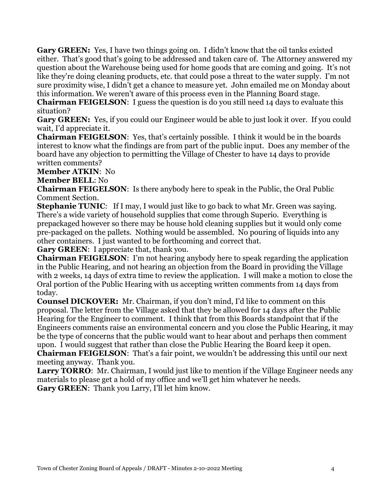Gary GREEN: Yes, I have two things going on. I didn't know that the oil tanks existed either. That's good that's going to be addressed and taken care of. The Attorney answered my question about the Warehouse being used for home goods that are coming and going. It's not like they're doing cleaning products, etc. that could pose a threat to the water supply. I'm not sure proximity wise, I didn't get a chance to measure yet. John emailed me on Monday about this information. We weren't aware of this process even in the Planning Board stage.

**Chairman FEIGELSON:** I guess the question is do you still need 14 days to evaluate this situation?

**Gary GREEN:** Yes, if you could our Engineer would be able to just look it over. If you could wait, I'd appreciate it.

**Chairman FEIGELSON**: Yes, that's certainly possible. I think it would be in the boards interest to know what the findings are from part of the public input. Does any member of the board have any objection to permitting the Village of Chester to have 14 days to provide written comments?

**Member ATKIN**: No

**Member BELL**: No

**Chairman FEIGELSON**: Is there anybody here to speak in the Public, the Oral Public Comment Section.

**Stephanie TUNIC:** If I may, I would just like to go back to what Mr. Green was saying. There's a wide variety of household supplies that come through Superio. Everything is prepackaged however so there may be house hold cleaning supplies but it would only come pre-packaged on the pallets. Nothing would be assembled. No pouring of liquids into any other containers. I just wanted to be forthcoming and correct that.

**Gary GREEN**: I appreciate that, thank you.

**Chairman FEIGELSON**: I'm not hearing anybody here to speak regarding the application in the Public Hearing, and not hearing an objection from the Board in providing the Village with 2 weeks, 14 days of extra time to review the application. I will make a motion to close the Oral portion of the Public Hearing with us accepting written comments from 14 days from today.

**Counsel DICKOVER:** Mr. Chairman, if you don't mind, I'd like to comment on this proposal. The letter from the Village asked that they be allowed for 14 days after the Public Hearing for the Engineer to comment. I think that from this Boards standpoint that if the Engineers comments raise an environmental concern and you close the Public Hearing, it may be the type of concerns that the public would want to hear about and perhaps then comment upon. I would suggest that rather than close the Public Hearing the Board keep it open. **Chairman FEIGELSON**: That's a fair point, we wouldn't be addressing this until our next

meeting anyway. Thank you.

Larry TORRO: Mr. Chairman, I would just like to mention if the Village Engineer needs any materials to please get a hold of my office and we'll get him whatever he needs. **Gary GREEN**: Thank you Larry, I'll let him know.